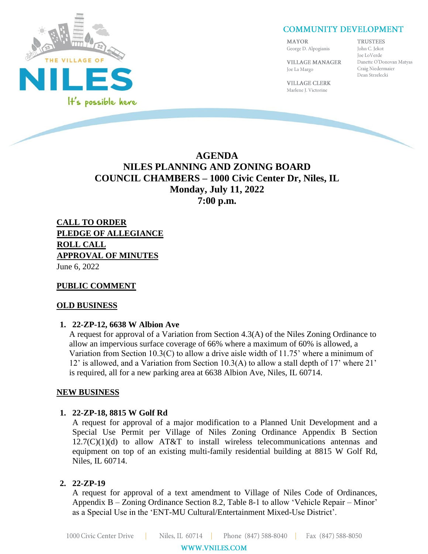

# **COMMUNITY DEVELOPMENT**

MAYOR

Joe La Margo

**TRUSTEES** 

George D. Alpogianis **VILLAGE MANAGER** 

John C. Jekot Joe LoVerde Danette O'Donovan Matyas Craig Niedermaier Dean Strzelecki

**VILLAGE CLERK** Marlene J. Victorine

# **AGENDA NILES PLANNING AND ZONING BOARD COUNCIL CHAMBERS – 1000 Civic Center Dr, Niles, IL Monday, July 11, 2022 7:00 p.m.**

**CALL TO ORDER PLEDGE OF ALLEGIANCE ROLL CALL APPROVAL OF MINUTES** June 6, 2022

### **PUBLIC COMMENT**

#### **OLD BUSINESS**

#### **1. 22-ZP-12, 6638 W Albion Ave**

A request for approval of a Variation from Section 4.3(A) of the Niles Zoning Ordinance to allow an impervious surface coverage of 66% where a maximum of 60% is allowed, a Variation from Section 10.3(C) to allow a drive aisle width of 11.75' where a minimum of 12' is allowed, and a Variation from Section 10.3(A) to allow a stall depth of 17' where 21' is required, all for a new parking area at 6638 Albion Ave, Niles, IL 60714.

#### **NEW BUSINESS**

#### **1. 22-ZP-18, 8815 W Golf Rd**

A request for approval of a major modification to a Planned Unit Development and a Special Use Permit per Village of Niles Zoning Ordinance Appendix B Section  $12.7(C)(1)(d)$  to allow AT&T to install wireless telecommunications antennas and equipment on top of an existing multi-family residential building at 8815 W Golf Rd, Niles, IL 60714.

#### **2. 22-ZP-19**

A request for approval of a text amendment to Village of Niles Code of Ordinances, Appendix B – Zoning Ordinance Section 8.2, Table 8-1 to allow 'Vehicle Repair – Minor' as a Special Use in the 'ENT-MU Cultural/Entertainment Mixed-Use District'.